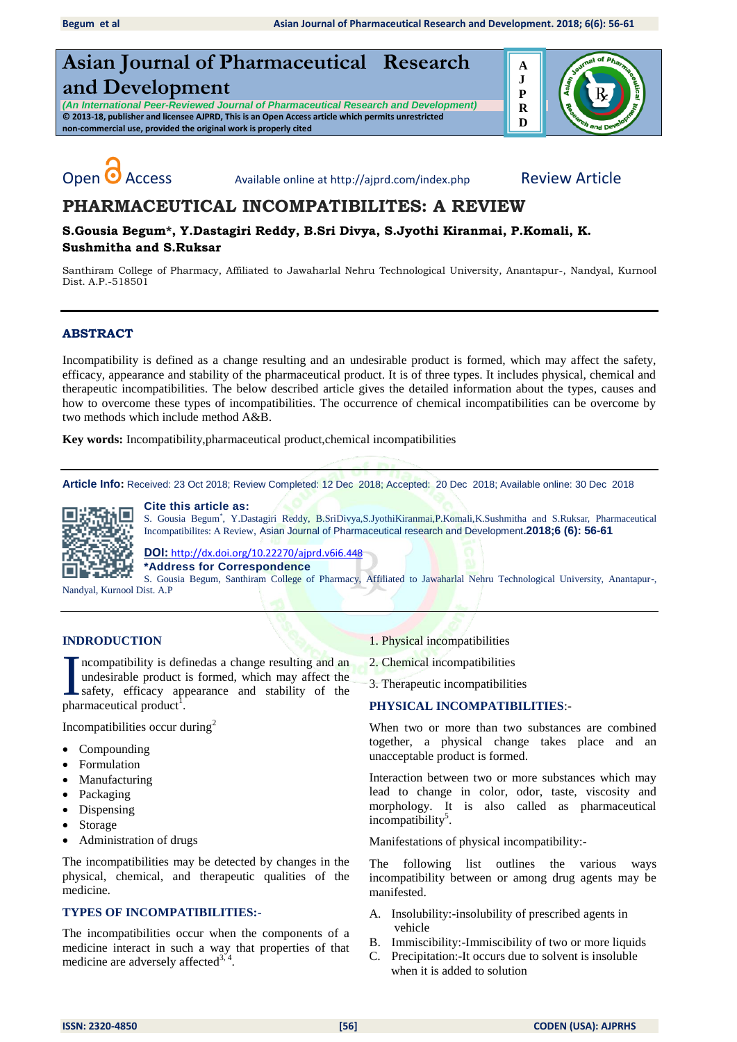# **Asian Journal of Pharmaceutical Research and Development**

*(An International Peer-Reviewed Journal of Pharmaceutical Research and Development)* **© 2013-18, publisher and licensee AJPRD, This is an Open Access article which permits unrestricted non-commercial use, provided the original work is properly cited**



**Sushmitha and S.Ruksar**

Open **O** Access Available online at http://ajprd.com/index.php Review Article

# **PHARMACEUTICAL INCOMPATIBILITES: A REVIEW S.Gousia Begum\*, Y.Dastagiri Reddy, B.Sri Divya, S.Jyothi Kiranmai, P.Komali, K.**

Santhiram College of Pharmacy, Affiliated to Jawaharlal Nehru Technological University, Anantapur-, Nandyal, Kurnool Dist. A.P.-518501

# **ABSTRACT**

Incompatibility is defined as a change resulting and an undesirable product is formed, which may affect the safety, efficacy, appearance and stability of the pharmaceutical product. It is of three types. It includes physical, chemical and therapeutic incompatibilities. The below described article gives the detailed information about the types, causes and how to overcome these types of incompatibilities. The occurrence of chemical incompatibilities can be overcome by two methods which include method A&B.

**Key words:** Incompatibility,pharmaceutical product,chemical incompatibilities

**Article Info:** Received: 23 Oct 2018; Review Completed: 12 Dec 2018; Accepted: 20 Dec 2018; Available online: 30 Dec 2018



#### **Cite this article as:**

S. Gousia Begum<sup>\*</sup>, Y.Dastagiri Reddy, B.SriDivya,S.JyothiKiranmai,P.Komali,K.Sushmitha and S.Ruksar, Pharmaceutical Incompatibilites: A Review, Asian Journal of Pharmaceutical research and Development**.2018;6 (6): 56-61** 

**DOI:** [http://dx.doi.org/10.22270/ajprd.v6i6.](http://dx.doi.org/10.22270/ajprd.v6i6.448)448

**\*Address for Correspondence** 

S. Gousia Begum, Santhiram College of Pharmacy, Affiliated to Jawaharlal Nehru Technological University, Anantapur-, Nandyal, Kurnool Dist. A.P

# **INDRODUCTION**

ncompatibility is definedas a change resulting and an undesirable product is formed, which may affect the safety, efficacy appearance and stability of the Incompatibility is defundesirable product<br>safety, efficacy approximate product  $\frac{1}{2}$ .

Incompatibilities occur during $2$ 

- Compounding
- Formulation
- Manufacturing
- Packaging
- Dispensing
- Storage
- Administration of drugs

The incompatibilities may be detected by changes in the physical, chemical, and therapeutic qualities of the medicine.

# **TYPES OF INCOMPATIBILITIES:-**

The incompatibilities occur when the components of a medicine interact in such a way that properties of that medicine are adversely affected<sup>3, 4</sup>.

- 1. Physical incompatibilities
- 2. Chemical incompatibilities

3. Therapeutic incompatibilities

#### **PHYSICAL INCOMPATIBILITIES**:-

When two or more than two substances are combined together, a physical change takes place and an unacceptable product is formed.

Interaction between two or more substances which may lead to change in color, odor, taste, viscosity and morphology. It is also called as pharmaceutical incompatibility<sup>5</sup>.

Manifestations of physical incompatibility:-

The following list outlines the various ways incompatibility between or among drug agents may be manifested.

- A. Insolubility:-insolubility of prescribed agents in vehicle
- B. Immiscibility:-Immiscibility of two or more liquids
- C. Precipitation:-It occurs due to solvent is insoluble when it is added to solution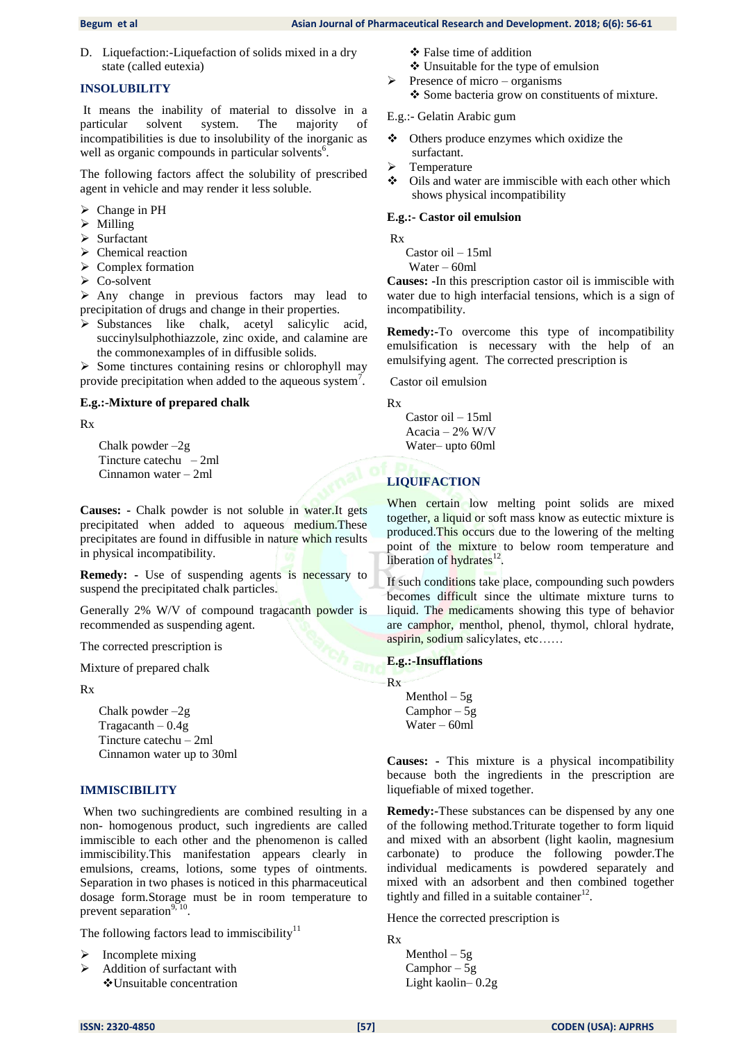D. Liquefaction:-Liquefaction of solids mixed in a dry state (called eutexia)

#### **INSOLUBILITY**

It means the inability of material to dissolve in a particular solvent system. The majority incompatibilities is due to insolubility of the inorganic as well as organic compounds in particular solvents<sup>6</sup>.

The following factors affect the solubility of prescribed agent in vehicle and may render it less soluble.

- > Change in PH
- > Milling
- $\triangleright$  Surfactant
- $\triangleright$  Chemical reaction
- $\triangleright$  Complex formation
- Co-solvent

 $\triangleright$  Any change in previous factors may lead to precipitation of drugs and change in their properties.

 $\triangleright$  Substances like chalk, acetyl salicylic acid, succinylsulphothiazzole, zinc oxide, and calamine are the commonexamples of in diffusible solids.

 $\triangleright$  Some tinctures containing resins or chlorophyll may provide precipitation when added to the aqueous system<sup>7</sup>.

#### **E.g.:-Mixture of prepared chalk**

Rx

 Chalk powder –2g Tincture catechu – 2ml Cinnamon water – 2ml

**Causes: -** Chalk powder is not soluble in water.It gets precipitated when added to aqueous medium.These precipitates are found in diffusible in nature which results in physical incompatibility.

**Remedy: -** Use of suspending agents is necessary to suspend the precipitated chalk particles.

Generally 2% W/V of compound tragacanth powder is recommended as suspending agent.

The corrected prescription is

Mixture of prepared chalk

Rx

 Chalk powder –2g Tragacanth  $-0.4g$  Tincture catechu – 2ml Cinnamon water up to 30ml

# **IMMISCIBILITY**

When two suchingredients are combined resulting in a non- homogenous product, such ingredients are called immiscible to each other and the phenomenon is called immiscibility.This manifestation appears clearly in emulsions, creams, lotions, some types of ointments. Separation in two phases is noticed in this pharmaceutical dosage form.Storage must be in room temperature to prevent separation $9,10$ .

The following factors lead to immiscibility<sup>11</sup>

- Incomplete mixing
- $\triangleright$  Addition of surfactant with Unsuitable concentration
- False time of addition
- Unsuitable for the type of emulsion
- $\triangleright$  Presence of micro organisms Some bacteria grow on constituents of mixture.

#### E.g.:- Gelatin Arabic gum

- Others produce enzymes which oxidize the surfactant.
- $\triangleright$  Temperature
- $\triangle$  Oils and water are immiscible with each other which shows physical incompatibility

#### **E.g.:- Castor oil emulsion**

Rx

Castor oil – 15ml

Water – 60ml

**Causes: -**In this prescription castor oil is immiscible with water due to high interfacial tensions, which is a sign of incompatibility.

**Remedy:-**To overcome this type of incompatibility emulsification is necessary with the help of an emulsifying agent. The corrected prescription is

Castor oil emulsion

Rx

 Castor oil – 15ml Acacia – 2% W/V Water– upto 60ml

# **LIQUIFACTION**

When certain low melting point solids are mixed together, a liquid or soft mass know as eutectic mixture is produced.This occurs due to the lowering of the melting point of the mixture to below room temperature and liberation of hydrates<sup>12</sup>.

If such conditions take place, compounding such powders becomes difficult since the ultimate mixture turns to liquid. The medicaments showing this type of behavior are camphor, menthol, phenol, thymol, chloral hydrate, aspirin, sodium salicylates, etc……

#### **E.g.:-Insufflations**

Rx

Menthol  $-5g$  Camphor – 5g Water – 60ml

**Causes: -** This mixture is a physical incompatibility because both the ingredients in the prescription are liquefiable of mixed together.

**Remedy:-**These substances can be dispensed by any one of the following method.Triturate together to form liquid and mixed with an absorbent (light kaolin, magnesium carbonate) to produce the following powder.The individual medicaments is powdered separately and mixed with an adsorbent and then combined together tightly and filled in a suitable container $12$ .

Hence the corrected prescription is

Rx

Menthol  $-5g$  Camphor – 5g Light kaolin– 0.2g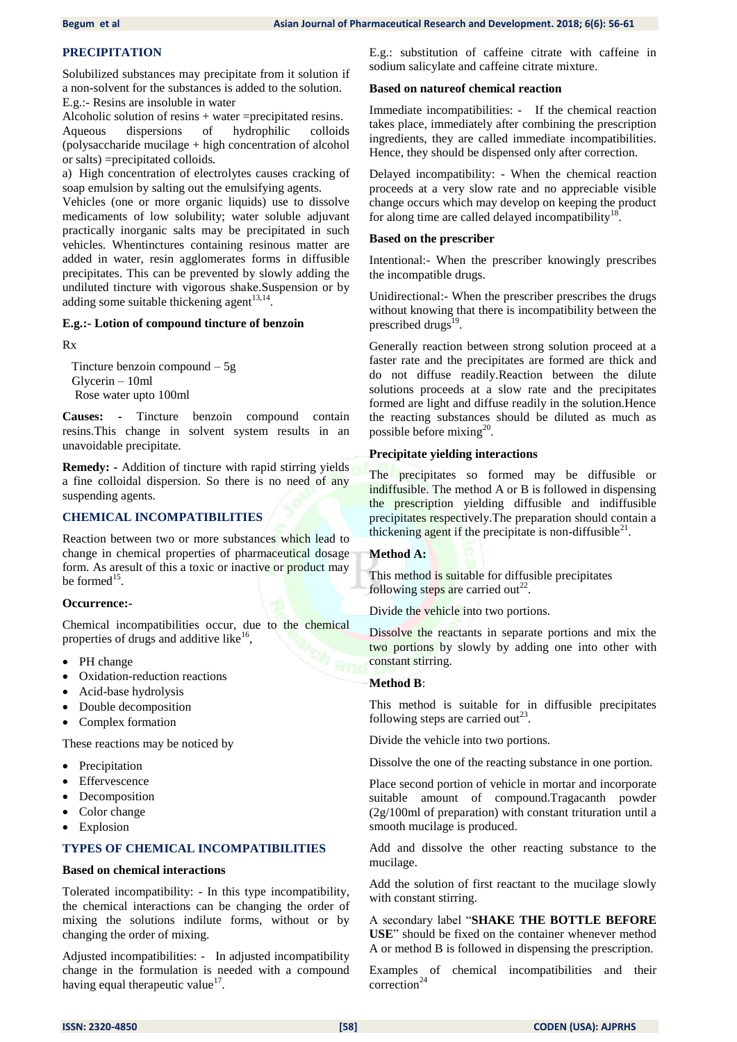# **PRECIPITATION**

Solubilized substances may precipitate from it solution if a non-solvent for the substances is added to the solution. E.g.:- Resins are insoluble in water

Alcoholic solution of resins + water =precipitated resins. Aqueous dispersions of hydrophilic colloids (polysaccharide mucilage + high concentration of alcohol or salts) =precipitated colloids.

a) High concentration of electrolytes causes cracking of soap emulsion by salting out the emulsifying agents.

Vehicles (one or more organic liquids) use to dissolve medicaments of low solubility; water soluble adjuvant practically inorganic salts may be precipitated in such vehicles. Whentinctures containing resinous matter are added in water, resin agglomerates forms in diffusible precipitates. This can be prevented by slowly adding the undiluted tincture with vigorous shake.Suspension or by adding some suitable thickening agent $^{13,14}$ .

#### **E.g.:- Lotion of compound tincture of benzoin**

Rx

 Tincture benzoin compound – 5g Glycerin – 10ml Rose water upto 100ml

**Causes: -** Tincture benzoin compound contain resins.This change in solvent system results in an unavoidable precipitate.

**Remedy: -** Addition of tincture with rapid stirring yields a fine colloidal dispersion. So there is no need of any suspending agents.

#### **CHEMICAL INCOMPATIBILITIES**

Reaction between two or more substances which lead to change in chemical properties of pharmaceutical dosage form. As aresult of this a toxic or inactive or product may be formed<sup>15</sup>.

#### **Occurrence:-**

Chemical incompatibilities occur, due to the chemical properties of drugs and additive like<sup>16</sup>,

- PH change
- Oxidation-reduction reactions
- Acid-base hydrolysis
- Double decomposition
- Complex formation

These reactions may be noticed by

- Precipitation
- Effervescence
- Decomposition
- Color change
- Explosion

### **TYPES OF CHEMICAL INCOMPATIBILITIES**

#### **Based on chemical interactions**

Tolerated incompatibility: - In this type incompatibility, the chemical interactions can be changing the order of mixing the solutions indilute forms, without or by changing the order of mixing.

Adjusted incompatibilities: - In adjusted incompatibility change in the formulation is needed with a compound having equal therapeutic value $^{17}$ .

E.g.: substitution of caffeine citrate with caffeine in sodium salicylate and caffeine citrate mixture.

#### **Based on natureof chemical reaction**

Immediate incompatibilities: - If the chemical reaction takes place, immediately after combining the prescription ingredients, they are called immediate incompatibilities. Hence, they should be dispensed only after correction.

Delayed incompatibility: - When the chemical reaction proceeds at a very slow rate and no appreciable visible change occurs which may develop on keeping the product for along time are called delayed incompatibility $18$ .

#### **Based on the prescriber**

Intentional:- When the prescriber knowingly prescribes the incompatible drugs.

Unidirectional:- When the prescriber prescribes the drugs without knowing that there is incompatibility between the prescribed drugs $^{19}$ .

Generally reaction between strong solution proceed at a faster rate and the precipitates are formed are thick and do not diffuse readily.Reaction between the dilute solutions proceeds at a slow rate and the precipitates formed are light and diffuse readily in the solution.Hence the reacting substances should be diluted as much as possible before  $mixing^{20}$ .

#### **Precipitate yielding interactions**

The precipitates so formed may be diffusible or indiffusible. The method A or B is followed in dispensing the prescription yielding diffusible and indiffusible precipitates respectively.The preparation should contain a thickening agent if the precipitate is non-diffusible $^{21}$ .

#### **Method A:**

This method is suitable for diffusible precipitates following steps are carried out<sup>22</sup>.

Divide the vehicle into two portions.

Dissolve the reactants in separate portions and mix the two portions by slowly by adding one into other with constant stirring.

#### **Method B**:

This method is suitable for in diffusible precipitates following steps are carried out<sup>23</sup>.

Divide the vehicle into two portions.

Dissolve the one of the reacting substance in one portion.

Place second portion of vehicle in mortar and incorporate suitable amount of compound.Tragacanth powder (2g/100ml of preparation) with constant trituration until a smooth mucilage is produced.

Add and dissolve the other reacting substance to the mucilage.

Add the solution of first reactant to the mucilage slowly with constant stirring.

A secondary label ―**SHAKE THE BOTTLE BEFORE USE**" should be fixed on the container whenever method A or method B is followed in dispensing the prescription.

Examples of chemical incompatibilities and their correction<sup>24</sup>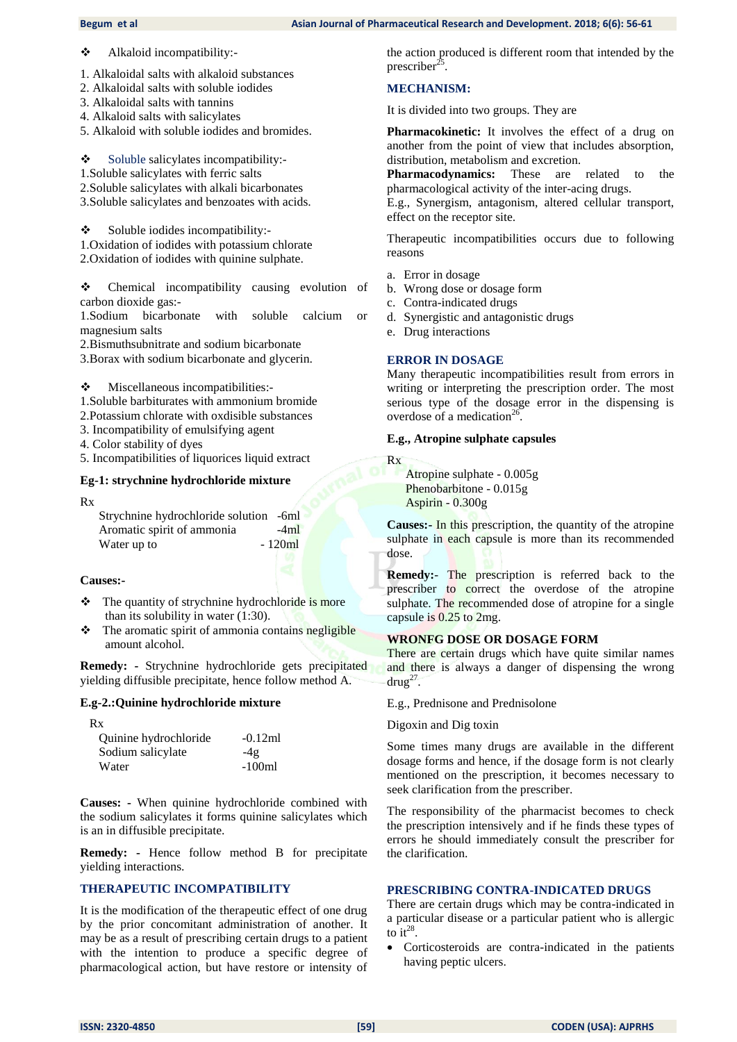#### **Begum et al Asian Journal of Pharmaceutical Research and Development. 2018; 6(6): 56-61 Asian Journal of Pharmaceutical Research and Development. 2018; 6(6): 56-61**

Alkaloid incompatibility:-

- 1. Alkaloidal salts with alkaloid substances
- 2. Alkaloidal salts with soluble iodides
- 3. Alkaloidal salts with tannins
- 4. Alkaloid salts with salicylates
- 5. Alkaloid with soluble iodides and bromides.

 $\div$  Soluble salicylates incompatibility:-

1.Soluble salicylates with ferric salts

2.Soluble salicylates with alkali bicarbonates

3.Soluble salicylates and benzoates with acids.

 $\bullet$  Soluble iodides incompatibility:-1.Oxidation of iodides with potassium chlorate 2.Oxidation of iodides with quinine sulphate.

• Chemical incompatibility causing evolution of carbon dioxide gas:-

1.Sodium bicarbonate with soluble calcium or magnesium salts

2.Bismuthsubnitrate and sodium bicarbonate

3.Borax with sodium bicarbonate and glycerin.

Miscellaneous incompatibilities:-

1.Soluble barbiturates with ammonium bromide

2.Potassium chlorate with oxdisible substances

3. Incompatibility of emulsifying agent

4. Color stability of dyes

5. Incompatibilities of liquorices liquid extract

# **Eg-1: strychnine hydrochloride mixture**

Rx

 Strychnine hydrochloride solution -6ml Aromatic spirit of ammonia -4ml Water up to  $-120ml$ 

#### **Causes:-**

- The quantity of strychnine hydrochloride is more than its solubility in water (1:30).
- The aromatic spirit of ammonia contains negligible amount alcohol.

**Remedy: -** Strychnine hydrochloride gets precipitated yielding diffusible precipitate, hence follow method A.

#### **E.g-2.:Quinine hydrochloride mixture**

| Rx                    |           |
|-----------------------|-----------|
| Quinine hydrochloride | $-0.12ml$ |
| Sodium salicylate     | $-4g$     |
| Water                 | $-100ml$  |

**Causes: -** When quinine hydrochloride combined with the sodium salicylates it forms quinine salicylates which is an in diffusible precipitate.

**Remedy: -** Hence follow method B for precipitate yielding interactions.

# **THERAPEUTIC INCOMPATIBILITY**

It is the modification of the therapeutic effect of one drug by the prior concomitant administration of another. It may be as a result of prescribing certain drugs to a patient with the intention to produce a specific degree of pharmacological action, but have restore or intensity of the action produced is different room that intended by the prescriber<sup>25</sup> .

# **MECHANISM:**

It is divided into two groups. They are

**Pharmacokinetic:** It involves the effect of a drug on another from the point of view that includes absorption, distribution, metabolism and excretion.

**Pharmacodynamics:** These are related to the pharmacological activity of the inter-acing drugs.

E.g., Synergism, antagonism, altered cellular transport, effect on the receptor site.

Therapeutic incompatibilities occurs due to following reasons

- a. Error in dosage
- b. Wrong dose or dosage form
- c. Contra-indicated drugs
- d. Synergistic and antagonistic drugs
- e. Drug interactions

# **ERROR IN DOSAGE**

Many therapeutic incompatibilities result from errors in writing or interpreting the prescription order. The most serious type of the dosage error in the dispensing is overdose of a medication<sup>26</sup>.

### **E.g., Atropine sulphate capsules**

Rx

 Atropine sulphate - 0.005g Phenobarbitone - 0.015g Aspirin - 0.300g

**Causes:-** In this prescription, the quantity of the atropine sulphate in each capsule is more than its recommended dose.

**Remedy:**- The prescription is referred back to the prescriber to correct the overdose of the atropine sulphate. The recommended dose of atropine for a single capsule is 0.25 to 2mg.

# **WRONFG DOSE OR DOSAGE FORM**

There are certain drugs which have quite similar names and there is always a danger of dispensing the wrong  $\text{drug}^{27}$ .

E.g., Prednisone and Prednisolone

Digoxin and Dig toxin

Some times many drugs are available in the different dosage forms and hence, if the dosage form is not clearly mentioned on the prescription, it becomes necessary to seek clarification from the prescriber.

The responsibility of the pharmacist becomes to check the prescription intensively and if he finds these types of errors he should immediately consult the prescriber for the clarification.

# **PRESCRIBING CONTRA-INDICATED DRUGS**

There are certain drugs which may be contra-indicated in a particular disease or a particular patient who is allergic to it<sup>28</sup>.

 Corticosteroids are contra-indicated in the patients having peptic ulcers.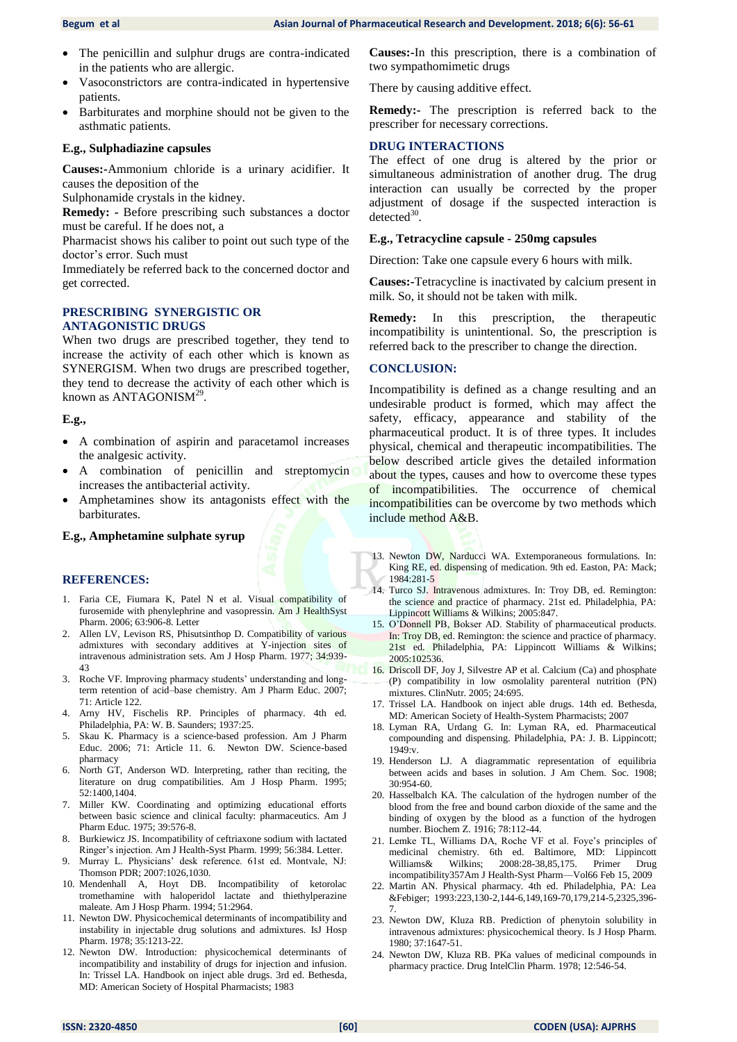- The penicillin and sulphur drugs are contra-indicated in the patients who are allergic.
- Vasoconstrictors are contra-indicated in hypertensive patients.
- Barbiturates and morphine should not be given to the asthmatic patients.

#### **E.g., Sulphadiazine capsules**

**Causes:-**Ammonium chloride is a urinary acidifier. It causes the deposition of the

Sulphonamide crystals in the kidney.

**Remedy: -** Before prescribing such substances a doctor must be careful. If he does not, a

Pharmacist shows his caliber to point out such type of the doctor's error. Such must

Immediately be referred back to the concerned doctor and get corrected.

#### **PRESCRIBING SYNERGISTIC OR ANTAGONISTIC DRUGS**

When two drugs are prescribed together, they tend to increase the activity of each other which is known as SYNERGISM. When two drugs are prescribed together, they tend to decrease the activity of each other which is known as  $ANTAGONISM^{29}$ .

#### **E.g.,**

- A combination of aspirin and paracetamol increases the analgesic activity.
- A combination of penicillin and streptomycin increases the antibacterial activity.
- Amphetamines show its antagonists effect with the barbiturates.

#### **E.g., Amphetamine sulphate syrup**

#### **REFERENCES:**

- 1. Faria CE, Fiumara K, Patel N et al. Visual compatibility of furosemide with phenylephrine and vasopressin. Am J HealthSyst Pharm. 2006; 63:906-8. Letter
- 2. Allen LV, Levison RS, Phisutsinthop D. Compatibility of various admixtures with secondary additives at Y-injection sites of intravenous administration sets. Am J Hosp Pharm. 1977; 34:939- 43
- 3. Roche VF. Improving pharmacy students' understanding and longterm retention of acid–base chemistry. Am J Pharm Educ. 2007; 71: Article 122.
- 4. Arny HV, Fischelis RP. Principles of pharmacy. 4th ed. Philadelphia, PA: W. B. Saunders; 1937:25.
- 5. Skau K. Pharmacy is a science-based profession. Am J Pharm Educ. 2006; 71: Article 11. 6. Newton DW. Science-based pharmacy
- North GT, Anderson WD. Interpreting, rather than reciting, the literature on drug compatibilities. Am J Hosp Pharm. 1995; 52:1400,1404.
- 7. Miller KW. Coordinating and optimizing educational efforts between basic science and clinical faculty: pharmaceutics. Am J Pharm Educ. 1975; 39:576-8.
- 8. Burkiewicz JS. Incompatibility of ceftriaxone sodium with lactated Ringer's injection. Am J Health-Syst Pharm. 1999; 56:384. Letter.
- 9. Murray L. Physicians' desk reference. 61st ed. Montvale, NJ: Thomson PDR; 2007:1026,1030.
- 10. Mendenhall A, Hoyt DB. Incompatibility of ketorolac tromethamine with haloperidol lactate and thiethylperazine maleate. Am J Hosp Pharm. 1994; 51:2964.
- 11. Newton DW. Physicochemical determinants of incompatibility and instability in injectable drug solutions and admixtures. IsJ Hosp Pharm. 1978; 35:1213-22.
- 12. Newton DW. Introduction: physicochemical determinants of incompatibility and instability of drugs for injection and infusion. In: Trissel LA. Handbook on inject able drugs. 3rd ed. Bethesda, MD: American Society of Hospital Pharmacists; 1983

**Causes:-**In this prescription, there is a combination of two sympathomimetic drugs

There by causing additive effect.

**Remedy:-** The prescription is referred back to the prescriber for necessary corrections.

#### **DRUG INTERACTIONS**

The effect of one drug is altered by the prior or simultaneous administration of another drug. The drug interaction can usually be corrected by the proper adjustment of dosage if the suspected interaction is  $detected<sup>30</sup>$ .

#### **E.g., Tetracycline capsule - 250mg capsules**

Direction: Take one capsule every 6 hours with milk.

**Causes:-**Tetracycline is inactivated by calcium present in milk. So, it should not be taken with milk.

**Remedy:** In this prescription, the therapeutic incompatibility is unintentional. So, the prescription is referred back to the prescriber to change the direction.

#### **CONCLUSION:**

Incompatibility is defined as a change resulting and an undesirable product is formed, which may affect the safety, efficacy, appearance and stability of the pharmaceutical product. It is of three types. It includes physical, chemical and therapeutic incompatibilities. The below described article gives the detailed information about the types, causes and how to overcome these types of incompatibilities. The occurrence of chemical incompatibilities can be overcome by two methods which include method A&B.

- 13. Newton DW, Narducci WA. Extemporaneous formulations. In: King RE, ed. dispensing of medication. 9th ed. Easton, PA: Mack; 1984:281-5
- 14. Turco SJ. Intravenous admixtures. In: Troy DB, ed. Remington: the science and practice of pharmacy. 21st ed. Philadelphia, PA: Lippincott Williams & Wilkins; 2005:847.
- 15. O'Donnell PB, Bokser AD. Stability of pharmaceutical products. In: Troy DB, ed. Remington: the science and practice of pharmacy. 21st ed. Philadelphia, PA: Lippincott Williams & Wilkins; 2005:102536.
- 16. Driscoll DF, Joy J, Silvestre AP et al. Calcium (Ca) and phosphate (P) compatibility in low osmolality parenteral nutrition (PN) mixtures. ClinNutr. 2005; 24:695.
- 17. Trissel LA. Handbook on inject able drugs. 14th ed. Bethesda, MD: American Society of Health-System Pharmacists; 2007
- 18. Lyman RA, Urdang G. In: Lyman RA, ed. Pharmaceutical compounding and dispensing. Philadelphia, PA: J. B. Lippincott; 1949:v.
- 19. Henderson LJ. A diagrammatic representation of equilibria between acids and bases in solution. J Am Chem. Soc. 1908; 30:954-60.
- 20. Hasselbalch KA. The calculation of the hydrogen number of the blood from the free and bound carbon dioxide of the same and the binding of oxygen by the blood as a function of the hydrogen number. Biochem Z. 1916; 78:112-44.
- 21. Lemke TL, Williams DA, Roche VF et al. Foye's principles of medicinal chemistry. 6th ed. Baltimore, MD: Lippincott Williams& Wilkins; 2008:28-38,85,175. Primer Drug incompatibility357Am J Health-Syst Pharm—Vol66 Feb 15, 2009
- 22. Martin AN. Physical pharmacy. 4th ed. Philadelphia, PA: Lea &Febiger; 1993:223,130-2,144-6,149,169-70,179,214-5,2325,396- 7.
- 23. Newton DW, Kluza RB. Prediction of phenytoin solubility in intravenous admixtures: physicochemical theory. Is J Hosp Pharm. 1980; 37:1647-51.
- 24. Newton DW, Kluza RB. PKa values of medicinal compounds in pharmacy practice. Drug IntelClin Pharm. 1978; 12:546-54.